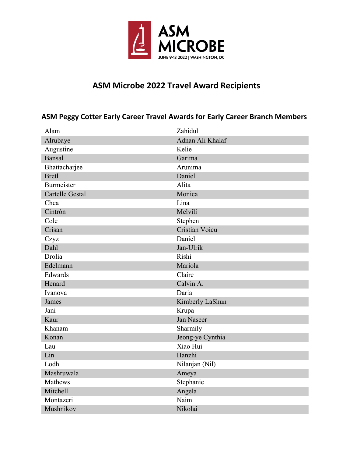

# **ASM Microbe 2022 Travel Award Recipients**

### **ASM Peggy Cotter Early Career Travel Awards for Early Career Branch Members**

| Alam                   | Zahidul           |
|------------------------|-------------------|
| Alrubaye               | Adnan Ali Khalaf  |
| Augustine              | Kelie             |
| <b>Bansal</b>          | Garima            |
| Bhattacharjee          | Arunima           |
| <b>Bretl</b>           | Daniel            |
| <b>Burmeister</b>      | Alita             |
| <b>Cartelle Gestal</b> | Monica            |
| Chea                   | Lina              |
| Cintrón                | Melvilí           |
| Cole                   | Stephen           |
| Crisan                 | Cristian Voicu    |
| Czyz                   | Daniel            |
| Dahl                   | Jan-Ulrik         |
| Drolia                 | Rishi             |
| Edelmann               | Mariola           |
| Edwards                | Claire            |
| Henard                 | Calvin A.         |
| Ivanova                | Daria             |
| James                  | Kimberly LaShun   |
| Jani                   | Krupa             |
| Kaur                   | <b>Jan Naseer</b> |
| Khanam                 | Sharmily          |
| Konan                  | Jeong-ye Cynthia  |
| Lau                    | Xiao Hui          |
| Lin                    | Hanzhi            |
| Lodh                   | Nilanjan (Nil)    |
| Mashruwala             | Ameya             |
| Mathews                | Stephanie         |
| Mitchell               | Angela            |
| Montazeri              | Naim              |
| Mushnikov              | Nikolai           |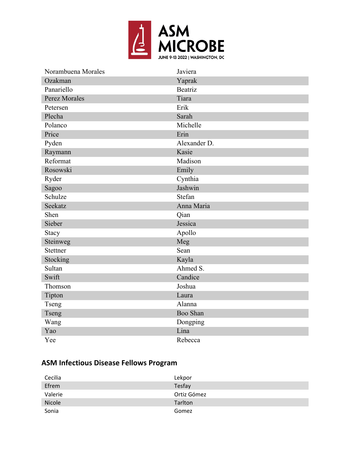

| Norambuena Morales | Javiera      |
|--------------------|--------------|
| Ozakman            | Yaprak       |
| Panariello         | Beatriz      |
| Perez Morales      | Tiara        |
| Petersen           | Erik         |
| Plecha             | Sarah        |
| Polanco            | Michelle     |
| Price              | Erin         |
| Pyden              | Alexander D. |
| Raymann            | Kasie        |
| Reformat           | Madison      |
| Rosowski           | Emily        |
| Ryder              | Cynthia      |
| Sagoo              | Jashwin      |
| Schulze            | Stefan       |
| Seekatz            | Anna Maria   |
| Shen               | Qian         |
| Sieber             | Jessica      |
| Stacy              | Apollo       |
| Steinweg           | Meg          |
| Stettner           | Sean         |
| Stocking           | Kayla        |
| Sultan             | Ahmed S.     |
| Swift              | Candice      |
| Thomson            | Joshua       |
| Tipton             | Laura        |
| Tseng              | Alanna       |
| Tseng              | Boo Shan     |
| Wang               | Dongping     |
| Yao                | Lina         |
| Yee                | Rebecca      |

# **ASM Infectious Disease Fellows Program**

| Cecilia | Lekpor      |
|---------|-------------|
| Efrem   | Tesfay      |
| Valerie | Ortiz Gómez |
| Nicole  | Tarlton     |
| Sonia   | Gomez       |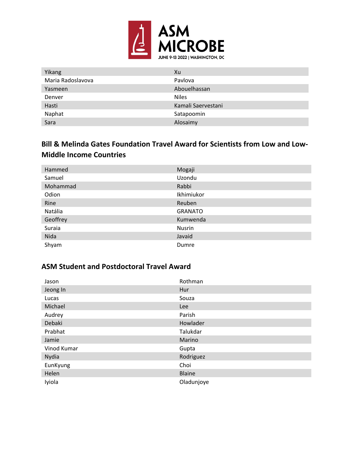

| Yikang            | Xu                 |
|-------------------|--------------------|
| Maria Radoslavova | Pavlova            |
| Yasmeen           | Abouelhassan       |
| Denver            | <b>Niles</b>       |
| Hasti             | Kamali Saervestani |
| Naphat            | Satapoomin         |
| Sara              | Alosaimy           |

### **Bill & Melinda Gates Foundation Travel Award for Scientists from Low and Low-Middle Income Countries**

| Hammed   | Mogaji         |
|----------|----------------|
| Samuel   | Uzondu         |
| Mohammad | Rabbi          |
| Odion    | Ikhimiukor     |
| Rine     | Reuben         |
| Natália  | <b>GRANATO</b> |
| Geoffrey | Kumwenda       |
| Suraia   | Nusrin         |
| Nida     | Javaid         |
| Shyam    | Dumre          |

#### **ASM Student and Postdoctoral Travel Award**

| Jason       | Rothman       |
|-------------|---------------|
| Jeong In    | Hur           |
| Lucas       | Souza         |
| Michael     | <b>Lee</b>    |
| Audrey      | Parish        |
| Debaki      | Howlader      |
| Prabhat     | Talukdar      |
| Jamie       | Marino        |
| Vinod Kumar | Gupta         |
| Nydia       | Rodriguez     |
| EunKyung    | Choi          |
| Helen       | <b>Blaine</b> |
| Iyiola      | Oladunjoye    |